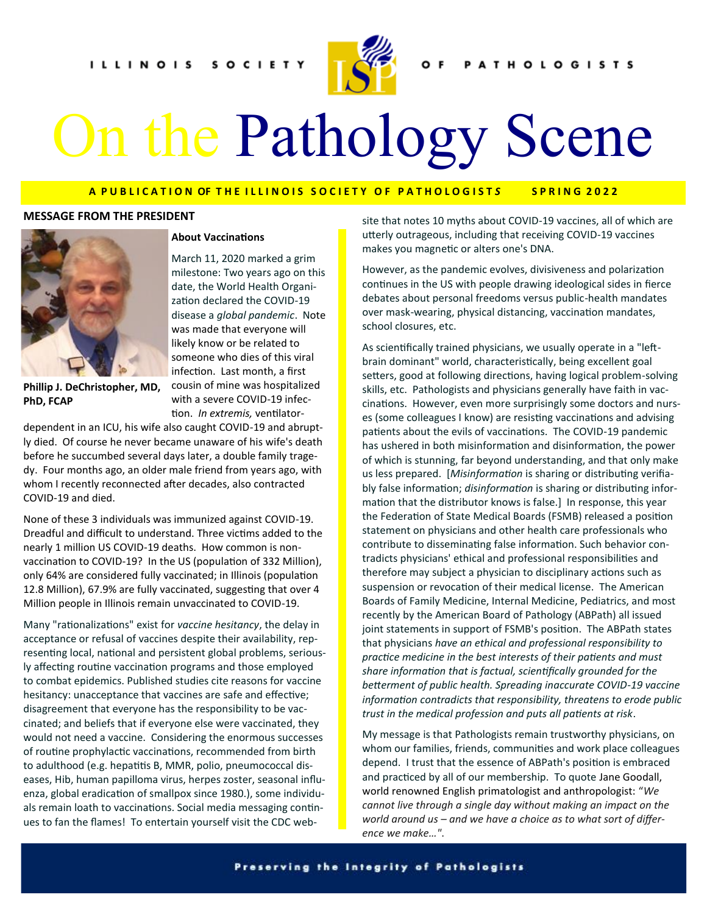

# On the Pathology Scene

# **A P U B L I C A T I O N OF T H E I L L I N O I S S O C I E T Y O F P A T H O L O G I S T** *S* **S P R I N G 2 0 2 2**

#### **MESSAGE FROM THE PRESIDENT**



**Phillip J. DeChristopher, MD, PhD, FCAP**

### **About Vaccinations**

March 11, 2020 marked a grim milestone: Two years ago on this date, the World Health Organization declared the COVID-19 disease a *global pandemic*. Note was made that everyone will likely know or be related to someone who dies of this viral infection. Last month, a first cousin of mine was hospitalized with a severe COVID-19 infection. *In extremis,* ventilator-

dependent in an ICU, his wife also caught COVID-19 and abruptly died. Of course he never became unaware of his wife's death before he succumbed several days later, a double family tragedy. Four months ago, an older male friend from years ago, with whom I recently reconnected after decades, also contracted COVID-19 and died.

None of these 3 individuals was immunized against COVID-19. Dreadful and difficult to understand. Three victims added to the nearly 1 million US COVID-19 deaths. How common is nonvaccination to COVID-19? In the US (population of 332 Million), only 64% are considered fully vaccinated; in Illinois (population 12.8 Million), 67.9% are fully vaccinated, suggesting that over 4 Million people in Illinois remain unvaccinated to COVID-19.

Many "rationalizations" exist for *vaccine hesitancy*, the delay in acceptance or refusal of vaccines despite their availability, representing local, national and persistent global problems, seriously affecting routine vaccination programs and those employed to combat epidemics. Published studies cite reasons for vaccine hesitancy: unacceptance that vaccines are safe and effective; disagreement that everyone has the responsibility to be vaccinated; and beliefs that if everyone else were vaccinated, they would not need a vaccine. Considering the enormous successes of routine prophylactic vaccinations, recommended from birth to adulthood (e.g. hepatitis B, MMR, polio, pneumococcal diseases, Hib, human papilloma virus, herpes zoster, seasonal influenza, global eradication of smallpox since 1980.), some individuals remain loath to vaccinations. Social media messaging continues to fan the flames! To entertain yourself visit the CDC website that notes 10 myths about COVID-19 vaccines, all of which are utterly outrageous, including that receiving COVID-19 vaccines makes you magnetic or alters one's DNA.

However, as the pandemic evolves, divisiveness and polarization continues in the US with people drawing ideological sides in fierce debates about personal freedoms versus public-health mandates over mask-wearing, physical distancing, vaccination mandates, school closures, etc.

As scientifically trained physicians, we usually operate in a "leftbrain dominant" world, characteristically, being excellent goal setters, good at following directions, having logical problem-solving skills, etc. Pathologists and physicians generally have faith in vaccinations. However, even more surprisingly some doctors and nurses (some colleagues I know) are resisting vaccinations and advising patients about the evils of vaccinations. The COVID-19 pandemic has ushered in both misinformation and disinformation, the power of which is stunning, far beyond understanding, and that only make us less prepared. [*Misinformation* is sharing or distributing verifiably false information; *disinformation* is sharing or distributing information that the distributor knows is false.] In response, this year the Federation of State Medical Boards (FSMB) released a position statement on physicians and other health care professionals who contribute to disseminating false information. Such behavior contradicts physicians' ethical and professional responsibilities and therefore may subject a physician to disciplinary actions such as suspension or revocation of their medical license. The American Boards of Family Medicine, Internal Medicine, Pediatrics, and most recently by the American Board of Pathology (ABPath) all issued joint statements in support of FSMB's position. The ABPath states that physicians *have an ethical and professional responsibility to practice medicine in the best interests of their patients and must share information that is factual, scientifically grounded for the betterment of public health. Spreading inaccurate COVID-19 vaccine information contradicts that responsibility, threatens to erode public trust in the medical profession and puts all patients at risk*.

My message is that Pathologists remain trustworthy physicians, on whom our families, friends, communities and work place colleagues depend. I trust that the essence of ABPath's position is embraced and practiced by all of our membership. To quote Jane Goodall, world renowned English primatologist and anthropologist: "*We cannot live through a single day without making an impact on the world around us – and we have a choice as to what sort of difference we make…"*.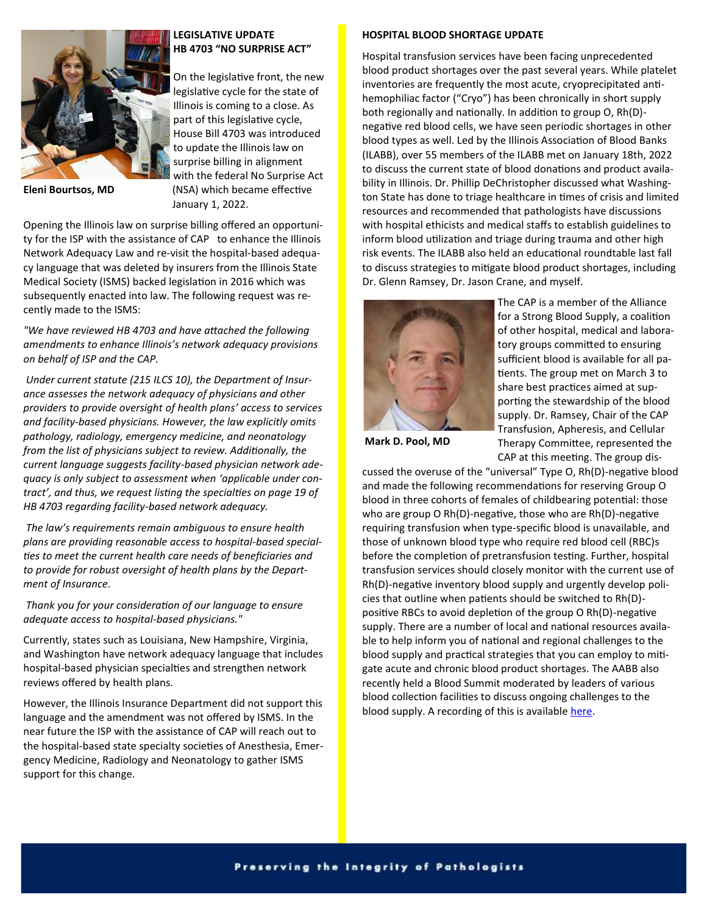

**Eleni Bourtsos, MD**

# **LEGISLATIVE UPDATE HB 4703 "NO SURPRISE ACT"**

On the legislative front, the new legislative cycle for the state of Illinois is coming to a close. As part of this legislative cycle, House Bill 4703 was introduced to update the Illinois law on surprise billing in alignment with the federal No Surprise Act (NSA) which became effective January 1, 2022.

Opening the Illinois law on surprise billing offered an opportunity for the ISP with the assistance of CAP to enhance the Illinois Network Adequacy Law and re-visit the hospital-based adequacy language that was deleted by insurers from the Illinois State Medical Society (ISMS) backed legislation in 2016 which was subsequently enacted into law. The following request was recently made to the ISMS:

*"We have reviewed HB 4703 and have attached the following amendments to enhance Illinois's network adequacy provisions on behalf of ISP and the CAP.*

*Under current statute (215 ILCS 10), the Department of Insurance assesses the network adequacy of physicians and other providers to provide oversight of health plans' access to services and facility-based physicians. However, the law explicitly omits pathology, radiology, emergency medicine, and neonatology from the list of physicians subject to review. Additionally, the current language suggests facility-based physician network adequacy is only subject to assessment when 'applicable under contract', and thus, we request listing the specialties on page 19 of HB 4703 regarding facility-based network adequacy.*

*The law's requirements remain ambiguous to ensure health plans are providing reasonable access to hospital-based specialties to meet the current health care needs of beneficiaries and to provide for robust oversight of health plans by the Department of Insurance.*

*Thank you for your consideration of our language to ensure adequate access to hospital-based physicians."*

Currently, states such as Louisiana, New Hampshire, Virginia, and Washington have network adequacy language that includes hospital-based physician specialties and strengthen network reviews offered by health plans.

However, the Illinois Insurance Department did not support this language and the amendment was not offered by ISMS. In the near future the ISP with the assistance of CAP will reach out to the hospital-based state specialty societies of Anesthesia, Emergency Medicine, Radiology and Neonatology to gather ISMS support for this change.

# **HOSPITAL BLOOD SHORTAGE UPDATE**

Hospital transfusion services have been facing unprecedented blood product shortages over the past several years. While platelet inventories are frequently the most acute, cryoprecipitated antihemophiliac factor ("Cryo") has been chronically in short supply both regionally and nationally. In addition to group O, Rh(D) negative red blood cells, we have seen periodic shortages in other blood types as well. Led by the Illinois Association of Blood Banks (ILABB), over 55 members of the ILABB met on January 18th, 2022 to discuss the current state of blood donations and product availability in Illinois. Dr. Phillip DeChristopher discussed what Washington State has done to triage healthcare in times of crisis and limited resources and recommended that pathologists have discussions with hospital ethicists and medical staffs to establish guidelines to inform blood utilization and triage during trauma and other high risk events. The ILABB also held an educational roundtable last fall to discuss strategies to mitigate blood product shortages, including Dr. Glenn Ramsey, Dr. Jason Crane, and myself.



The CAP is a member of the Alliance for a Strong Blood Supply, a coalition of other hospital, medical and laboratory groups committed to ensuring sufficient blood is available for all patients. The group met on March 3 to share best practices aimed at supporting the stewardship of the blood supply. Dr. Ramsey, Chair of the CAP Transfusion, Apheresis, and Cellular Therapy Committee, represented the

**Mark D. Pool, MD**

CAP at this meeting. The group dis-

cussed the overuse of the "universal" Type O, Rh(D)-negative blood and made the following recommendations for reserving Group O blood in three cohorts of females of childbearing potential: those who are group O Rh(D)-negative, those who are Rh(D)-negative requiring transfusion when type-specific blood is unavailable, and those of unknown blood type who require red blood cell (RBC)s before the completion of pretransfusion testing. Further, hospital transfusion services should closely monitor with the current use of Rh(D)-negative inventory blood supply and urgently develop policies that outline when patients should be switched to Rh(D) positive RBCs to avoid depletion of the group O Rh(D)-negative supply. There are a number of local and national resources available to help inform you of national and regional challenges to the blood supply and practical strategies that you can employ to mitigate acute and chronic blood product shortages. The AABB also recently held a Blood Summit moderated by leaders of various blood collection facilities to discuss ongoing challenges to the blood supply. A recording of this is available here.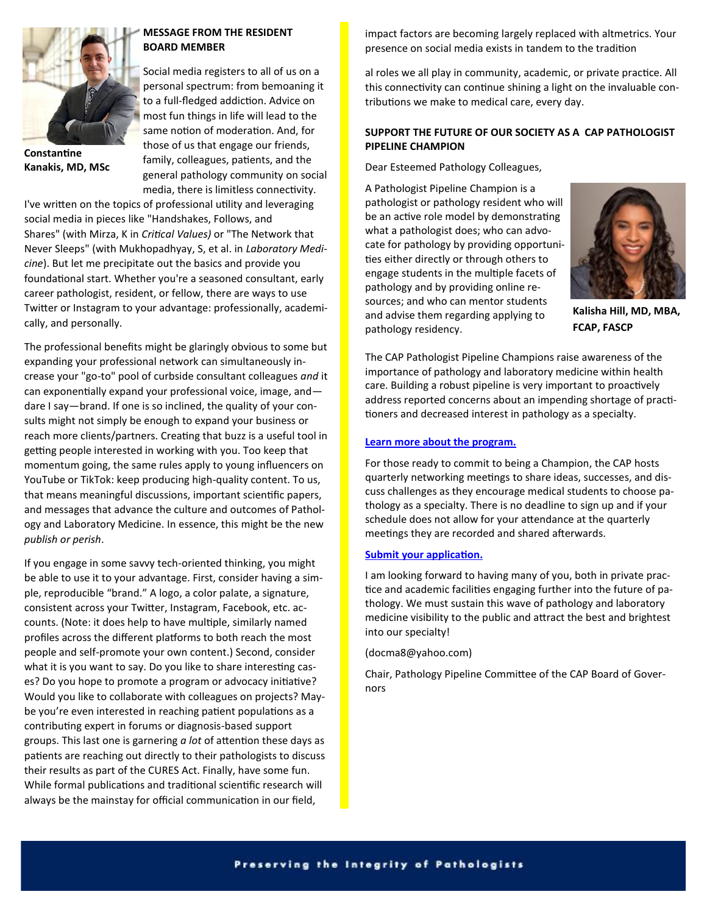

# **MESSAGE FROM THE RESIDENT BOARD MEMBER**

Social media registers to all of us on a personal spectrum: from bemoaning it to a full-fledged addiction. Advice on most fun things in life will lead to the same notion of moderation. And, for those of us that engage our friends, family, colleagues, patients, and the general pathology community on social media, there is limitless connectivity.

**Constantine Kanakis, MD, MSc**

I've written on the topics of professional utility and leveraging social media in pieces like "Handshakes, Follows, and Shares" (with Mirza, K in *Critical Values)* or "The Network that Never Sleeps" (with Mukhopadhyay, S, et al. in *Laboratory Medicine*). But let me precipitate out the basics and provide you foundational start. Whether you're a seasoned consultant, early career pathologist, resident, or fellow, there are ways to use Twitter or Instagram to your advantage: professionally, academically, and personally.

The professional benefits might be glaringly obvious to some but expanding your professional network can simultaneously increase your "go-to" pool of curbside consultant colleagues *and* it can exponentially expand your professional voice, image, and dare I say—brand. If one is so inclined, the quality of your consults might not simply be enough to expand your business or reach more clients/partners. Creating that buzz is a useful tool in getting people interested in working with you. Too keep that momentum going, the same rules apply to young influencers on YouTube or TikTok: keep producing high-quality content. To us, that means meaningful discussions, important scientific papers, and messages that advance the culture and outcomes of Pathology and Laboratory Medicine. In essence, this might be the new *publish or perish*.

If you engage in some savvy tech-oriented thinking, you might be able to use it to your advantage. First, consider having a simple, reproducible "brand." A logo, a color palate, a signature, consistent across your Twitter, Instagram, Facebook, etc. accounts. (Note: it does help to have multiple, similarly named profiles across the different platforms to both reach the most people and self-promote your own content.) Second, consider what it is you want to say. Do you like to share interesting cases? Do you hope to promote a program or advocacy initiative? Would you like to collaborate with colleagues on projects? Maybe you're even interested in reaching patient populations as a contributing expert in forums or diagnosis-based support groups. This last one is garnering *a lot* of attention these days as patients are reaching out directly to their pathologists to discuss their results as part of the CURES Act. Finally, have some fun. While formal publications and traditional scientific research will always be the mainstay for official communication in our field,

impact factors are becoming largely replaced with altmetrics. Your presence on social media exists in tandem to the tradition

al roles we all play in community, academic, or private practice. All this connectivity can continue shining a light on the invaluable contributions we make to medical care, every day.

## **SUPPORT THE FUTURE OF OUR SOCIETY AS A CAP PATHOLOGIST PIPELINE CHAMPION**

Dear Esteemed Pathology Colleagues,

A Pathologist Pipeline Champion is a pathologist or pathology resident who will be an active role model by demonstrating what a pathologist does; who can advocate for pathology by providing opportunities either directly or through others to engage students in the multiple facets of pathology and by providing online resources; and who can mentor students and advise them regarding applying to pathology residency.



**Kalisha Hill, MD, MBA, FCAP, FASCP**

The CAP Pathologist Pipeline Champions raise awareness of the importance of pathology and laboratory medicine within health care. Building a robust pipeline is very important to proactively address reported concerns about an impending shortage of practitioners and decreased interest in pathology as a specialty.

## **[Learn more about the program.](https://nam11.safelinks.protection.outlook.com/?url=https%3A%2F%2Fwww.cap.org%2Fmember-resources%2Fresidents%2Fcap-for-medical-students%2Fpathologist-pipeline-champions&data=04%7C01%7Ckalisha.hill%40amitahealth.org%7Cf216af7da9b74ed49f9908da08204f6c%7Cf81dc21)**

For those ready to commit to being a Champion, the CAP hosts quarterly networking meetings to share ideas, successes, and discuss challenges as they encourage medical students to choose pathology as a specialty. There is no deadline to sign up and if your schedule does not allow for your attendance at the quarterly meetings they are recorded and shared afterwards.

# **[Submit your application.](https://nam11.safelinks.protection.outlook.com/?url=https%3A%2F%2Fcappipeline.smapply.org%2Fprog%2Fpathologist_pipeline_champion_application%2F&data=04%7C01%7Ckalisha.hill%40amitahealth.org%7Cf216af7da9b74ed49f9908da08204f6c%7Cf81dc21ac1e5436c8b05d5f08b5a92bd)**

I am looking forward to having many of you, both in private practice and academic facilities engaging further into the future of pathology. We must sustain this wave of pathology and laboratory medicine visibility to the public and attract the best and brightest into our specialty!

(docma8@yahoo.com)

Chair, Pathology Pipeline Committee of the CAP Board of Governors